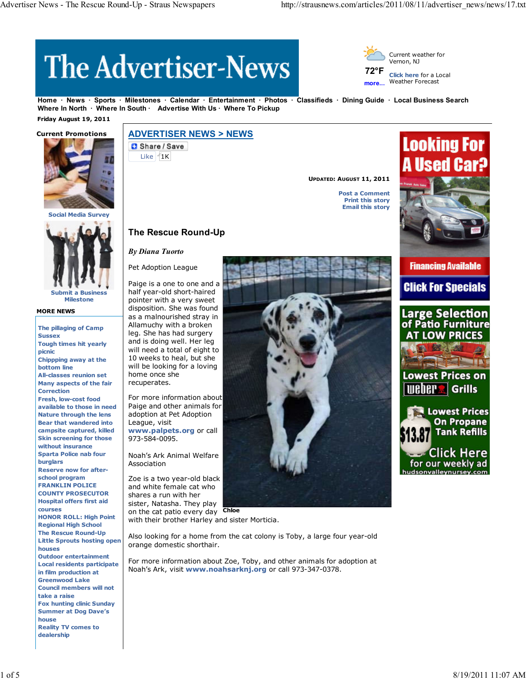# **The Advertiser-News**



**more... Click here** for a Local Weather Forecast

**Home News Sports Milestones Calendar Entertainment Photos Classifieds Dining Guide Local Business Search** Where In North · Where In South · Advertise With Us · Where To Pickup

 **Friday August 19, 2011**



**Social Media Surv** 



**Milestone**

#### **MORE NEWS**

**The pillaging of Camp Sussex Tough times hit yearly picnic Chippping away at the bottom line All-classes reunion set Many aspects of the fair Correction Fresh, low-cost food available to those in need Nature through the lens Bear that wandered into campsite captured, killed Skin screening for those without insurance Sparta Police nab four burglars Reserve now for afterschool program FRANKLIN POLICE COUNTY PROSECUTOR Hospital offers first aid courses HONOR ROLL: High Point Regional High School The Rescue Round-Up Little Sprouts hosting open houses Outdoor entertainment Local residents participate in film production at Greenwood Lake Council members will not take a raise Fox hunting clinic Sunday Summer at Dog Dave's house Reality TV comes to dealership**

# **ADVERTISER NEWS > NEWS**

**C** Share / Save Like  $1K$ 

**UPDATED: AUGUST 11, 2011**

**Post a Comment Print this story Email this story**



**Financing Available** 

**Click For Specials** 



# **The Rescue Round-Up**

## *By Diana Tuorto*

Pet Adoption League

Paige is a one to one and a half year-old short-haired pointer with a very sweet disposition. She was found as a malnourished stray in Allamuchy with a broken leg. She has had surgery and is doing well. Her leg will need a total of eight to 10 weeks to heal, but she will be looking for a loving home once she recuperates.

For more information about Paige and other animals for adoption at Pet Adoption League, visit **www.palpets.org** or call 973-584-0095.

Noah's Ark Animal Welfare Association

on the cat patio every day **Chloe** Zoe is a two year-old black and white female cat who shares a run with her sister, Natasha. They play

with their brother Harley and sister Morticia.

Also looking for a home from the cat colony is Toby, a large four year-old orange domestic shorthair.

For more information about Zoe, Toby, and other animals for adoption at Noah's Ark, visit **www.noahsarknj.org** or call 973-347-0378.

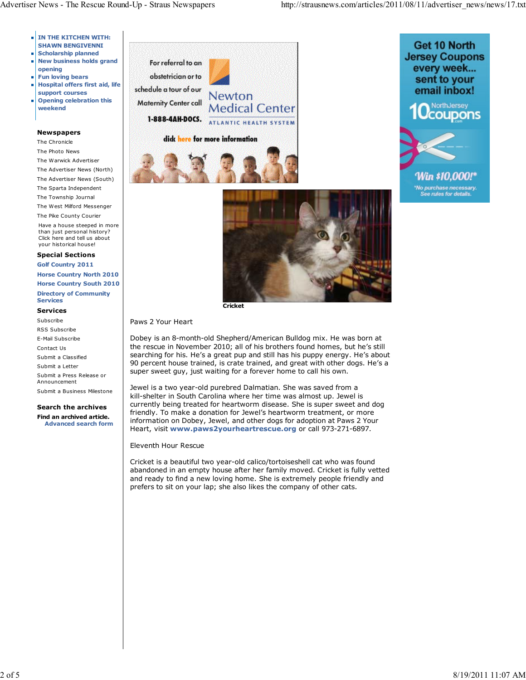- **IN THE KITCHEN WITH: SHAWN BENGIVENNI**
- **Scholarship planned New business holds grand**
- **opening**
- **Fun loving bears Hospital offers first aid, life** m. **support courses**
- **Opening celebration this** ш **weekend**

#### **Newspapers**

The Chronicle The Photo News The Warwick Advertiser The Advertiser News (North) The Advertiser News (South) The Sparta Independent The Township Journal The West Milford Messenger The Pike County Courier Have a house steeped in more than just personal history? Click here and tell us about your historical house!

#### **Special Sections**

**Golf Country 2011 Horse Country North 2010 Horse Country South 2010 Directory of Community Services**

# **Services**

Subscribe RSS Subscribe E-Mail Subscribe Contact Us Submit a Classified Submit a Letter Submit a Press Release or Announcement Submit a Business Milestone

## **Search the archives Find an archived article.**

**Advanced search form**









**Cricket**

## Paws 2 Your Heart

Dobey is an 8-month-old Shepherd/American Bulldog mix. He was born at the rescue in November 2010; all of his brothers found homes, but he's still searching for his. He's a great pup and still has his puppy energy. He's about 90 percent house trained, is crate trained, and great with other dogs. He's a super sweet guy, just waiting for a forever home to call his own.

Jewel is a two year-old purebred Dalmatian. She was saved from a kill-shelter in South Carolina where her time was almost up. Jewel is currently being treated for heartworm disease. She is super sweet and dog friendly. To make a donation for Jewel's heartworm treatment, or more information on Dobey, Jewel, and other dogs for adoption at Paws 2 Your Heart, visit **www.paws2yourheartrescue.org** or call 973-271-6897.

## Eleventh Hour Rescue

Cricket is a beautiful two year-old calico/tortoiseshell cat who was found abandoned in an empty house after her family moved. Cricket is fully vetted and ready to find a new loving home. She is extremely people friendly and prefers to sit on your lap; she also likes the company of other cats.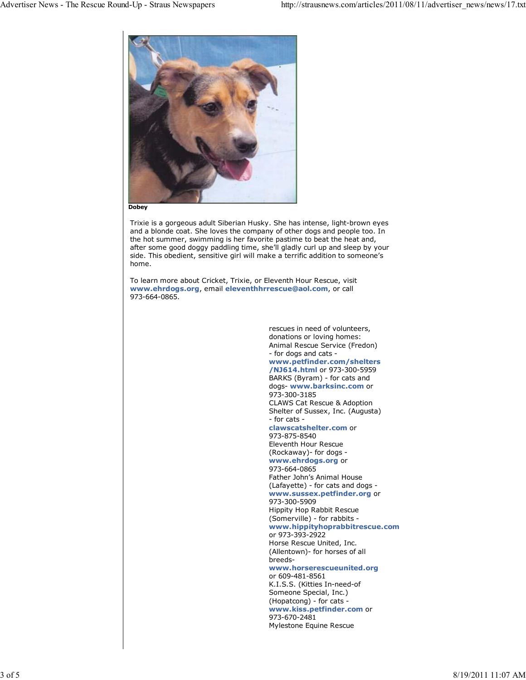

**Dobey**

Trixie is a gorgeous adult Siberian Husky. She has intense, light-brown eyes and a blonde coat. She loves the company of other dogs and people too. In the hot summer, swimming is her favorite pastime to beat the heat and, after some good doggy paddling time, she'll gladly curl up and sleep by your side. This obedient, sensitive girl will make a terrific addition to someone's home.

To learn more about Cricket, Trixie, or Eleventh Hour Rescue, visit **www.ehrdogs.org**, email **eleventhhrrescue@aol.com**, or call 973-664-0865.

> rescues in need of volunteers, donations or loving homes: Animal Rescue Service (Fredon) - for dogs and cats **www.petfinder.com/shelters /NJ614.html** or 973-300-5959 BARKS (Byram) - for cats and dogs- **www.barksinc.com** or 973-300-3185 CLAWS Cat Rescue & Adoption Shelter of Sussex, Inc. (Augusta) - for cats **clawscatshelter.com** or 973-875-8540 Eleventh Hour Rescue (Rockaway)- for dogs **www.ehrdogs.org** or 973-664-0865 Father John's Animal House (Lafayette) - for cats and dogs **www.sussex.petfinder.org** or 973-300-5909 Hippity Hop Rabbit Rescue (Somerville) - for rabbits **www.hippityhoprabbitrescue.com** or 973-393-2922 Horse Rescue United, Inc. (Allentown)- for horses of all breeds**www.horserescueunited.org** or 609-481-8561 K.I.S.S. (Kitties In-need-of Someone Special, Inc.) (Hopatcong) - for cats **www.kiss.petfinder.com** or 973-670-2481

Mylestone Equine Rescue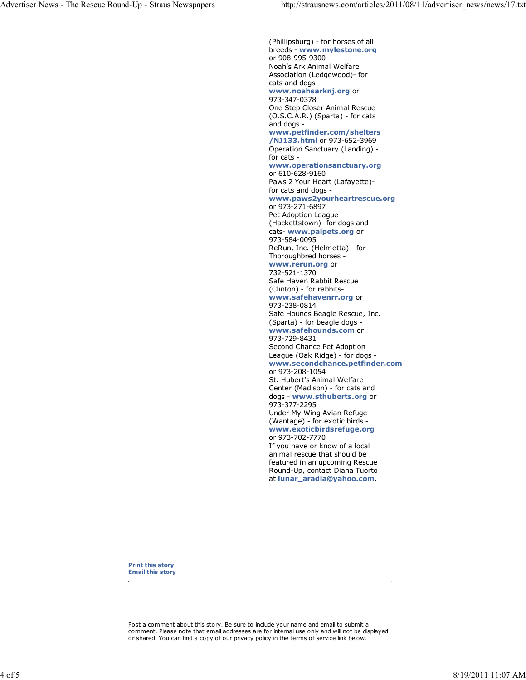(Phillipsburg) - for horses of all breeds - **www.mylestone.org** or 908-995-9300 Noah's Ark Animal Welfare Association (Ledgewood)- for cats and dogs **www.noahsarknj.org** or 973-347-0378 One Step Closer Animal Rescue (O.S.C.A.R.) (Sparta) - for cats and dogs **www.petfinder.com/shelters /NJ133.html** or 973-652-3969 Operation Sanctuary (Landing) for cats **www.operationsanctuary.org** or 610-628-9160 Paws 2 Your Heart (Lafayette) for cats and dogs **www.paws2yourheartrescue.org** or 973-271-6897 Pet Adoption League (Hackettstown)- for dogs and cats- **www.palpets.org** or 973-584-0095 ReRun, Inc. (Helmetta) - for Thoroughbred horses **www.rerun.org** or 732-521-1370 Safe Haven Rabbit Rescue (Clinton) - for rabbits**www.safehavenrr.org** or 973-238-0814 Safe Hounds Beagle Rescue, Inc. (Sparta) - for beagle dogs **www.safehounds.com** or 973-729-8431 Second Chance Pet Adoption League (Oak Ridge) - for dogs **www.secondchance.petfinder.com** or 973-208-1054 St. Hubert's Animal Welfare Center (Madison) - for cats and dogs - **www.sthuberts.org** or 973-377-2295 Under My Wing Avian Refuge (Wantage) - for exotic birds **www.exoticbirdsrefuge.org** or 973-702-7770 If you have or know of a local animal rescue that should be featured in an upcoming Rescue Round-Up, contact Diana Tuorto at **lunar\_aradia@yahoo.com**.

**Print this story Email this story**

Post a comment about this story. Be sure to include your name and email to submit a comment. Please note that email addresses are for internal use only and will not be displayed or shared. You can find a copy of our privacy policy in the terms of service link below.